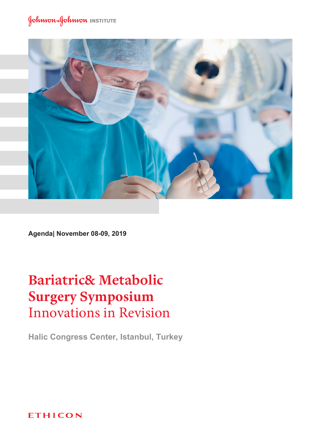

Agenda| November 08-09, 2019

## **Bariatric& Metabolic Surgery Symposium Innovations in Revision**

Halic Congress Center, Istanbul, Turkey

**ETHICON**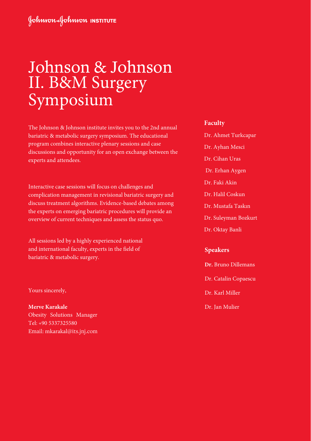# Johnson & Johnson II. B&M Surgery Symposium

The Johnson & Johnson institute invites you to the 2nd annual bariatric & metabolic surgery symposium. The educational program combines interactive plenary sessions and case discussions and opportunity for an open exchange between the experts and attendees.

Interactive case sessions will focus on challenges and complication management in revisional bariatric surgery and discuss treatment algorithms. Evidence-based debates among the experts on emerging bariatric procedures will provide an overview of current techniques and assess the status quo.

All sessions led by a highly experienced national and international faculty, experts in the field of bariatric & metabolic surgery.

#### Yours sincerely,

**Merve Karakale** Obesity Solutions Manager Tel: +90 5337325580 Email: mkarakal@its.jnj.com

#### **Faculty**

- Dr. Ahmet Turkcapar
- Dr. Ayhan Mesci
- Dr. Cihan Uras
- Dr. Erhan Aygen
- Dr. Faki Akin
- Dr. Halil Coskun
- Dr. Mustafa Taskın
- Dr. Suleyman Bozkurt
- Dr. Oktay Banli

### **Speakers**

- **Dr.** Bruno Dillemans Dr. Catalin Copaescu Dr. Karl Miller
- Dr. Jan Mulier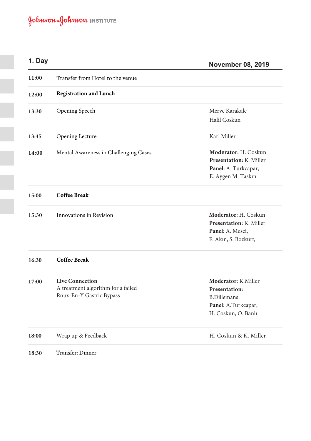### **1**

**November 08, 2019**

| 11:00 | Transfer from Hotel to the venue      |                                                 |
|-------|---------------------------------------|-------------------------------------------------|
| 12:00 | <b>Registration and Lunch</b>         |                                                 |
| 13:30 | Opening Speech                        | Merve Karakale                                  |
|       |                                       | Halil Coskun                                    |
| 13:45 | Opening Lecture                       | Karl Miller                                     |
| 14:00 | Mental Awareness in Challenging Cases | Moderator: H. Coskun                            |
|       |                                       | Presentation: K. Miller<br>Panel: A. Turkcapar, |
|       |                                       | E. Aygen M. Taskın                              |
| 15:00 | <b>Coffee Break</b>                   |                                                 |
| 15:30 | Innovations in Revision               | Moderator: H. Coskun                            |
|       |                                       | Presentation: K. Miller                         |
|       |                                       | Panel: A. Mesci,                                |
|       |                                       | F. Akın, S. Bozkurt,                            |
| 16:30 | <b>Coffee Break</b>                   |                                                 |
| 17:00 | <b>Live Connection</b>                | Moderator: K.Miller                             |
|       | A treatment algorithm for a failed    | Presentation:                                   |
|       | Roux-En-Y Gastric Bypass              | <b>B.Dillemans</b>                              |
|       |                                       | Panel: A.Turkcapar,                             |
|       |                                       | H. Coskun, O. Banlı                             |
| 18:00 | Wrap up & Feedback                    | H. Coskun & K. Miller                           |
| 18:30 | Transfer: Dinner                      |                                                 |
|       |                                       |                                                 |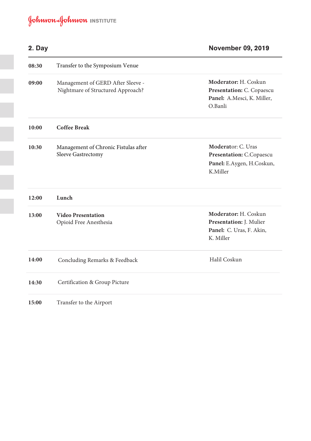| 2. Day |                                                                        | <b>November 09, 2019</b>                                                                   |
|--------|------------------------------------------------------------------------|--------------------------------------------------------------------------------------------|
| 08:30  | Transfer to the Symposium Venue                                        |                                                                                            |
| 09:00  | Management of GERD After Sleeve -<br>Nightmare of Structured Approach? | Moderator: H. Coskun<br>Presentation: C. Copaescu<br>Panel: A.Mesci, K. Miller,<br>O.Banli |
| 10:00  | <b>Coffee Break</b>                                                    |                                                                                            |
| 10:30  | Management of Chronic Fistulas after<br>Sleeve Gastrectomy             | Moderator: C. Uras<br>Presentation: C.Copaescu<br>Panel: E.Aygen, H.Coskun,<br>K.Miller    |
| 12:00  | Lunch                                                                  |                                                                                            |
| 13:00  | <b>Video Presentation</b><br>Opioid Free Anesthesia                    | Moderator: H. Coskun<br>Presentation: J. Mulier<br>Panel: C. Uras, F. Akin,<br>K. Miller   |
| 14:00  | Concluding Remarks & Feedback                                          | Halil Coskun                                                                               |
| 14:30  | Certification & Group Picture                                          |                                                                                            |
| 15:00  | Transfer to the Airport                                                |                                                                                            |